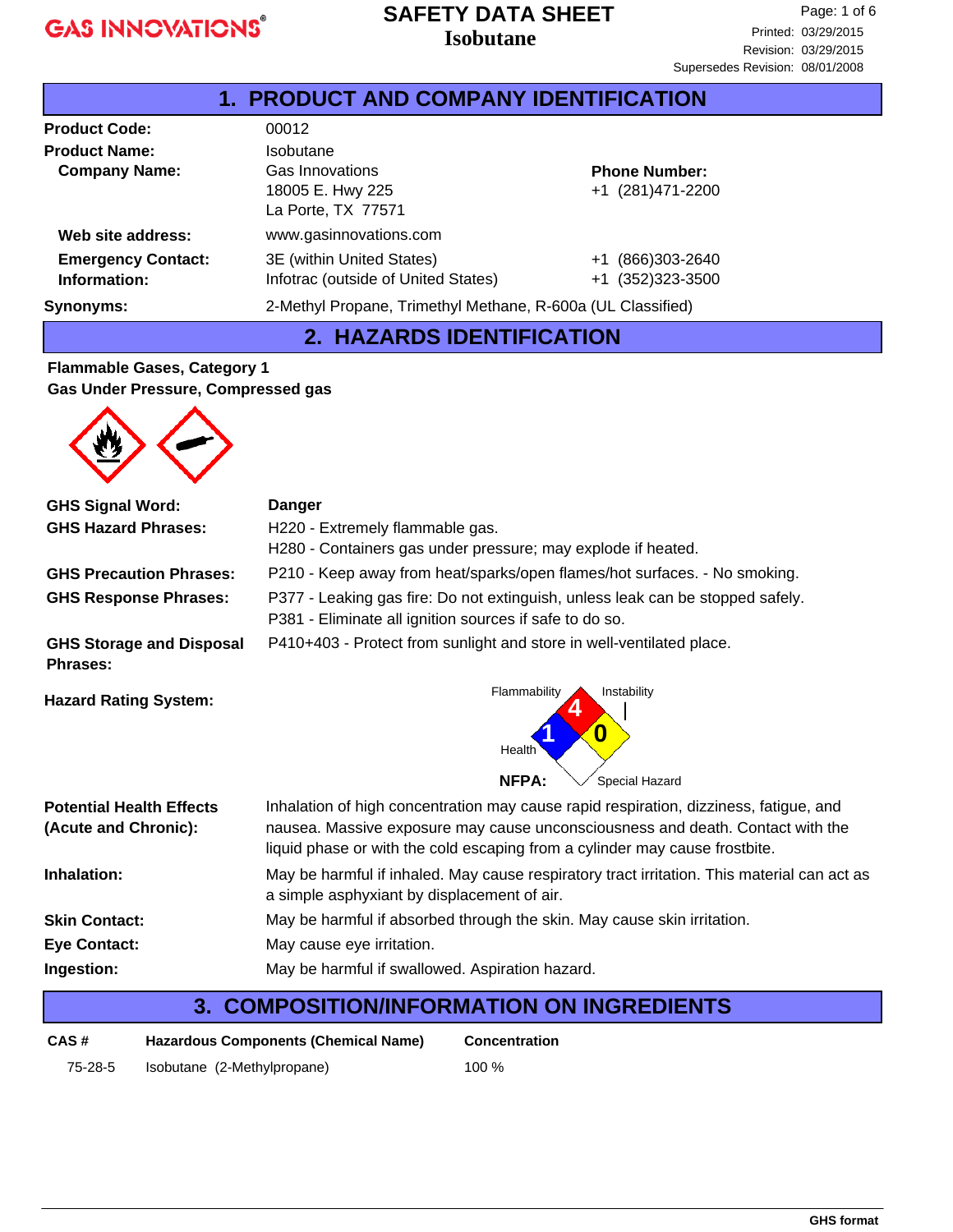#### **Isobutane SAFETY DATA SHEET**

| <b>1. PRODUCT AND COMPANY IDENTIFICATION</b> |                                                             |                      |  |
|----------------------------------------------|-------------------------------------------------------------|----------------------|--|
| <b>Product Code:</b>                         | 00012                                                       |                      |  |
| <b>Product Name:</b>                         | <b>Isobutane</b>                                            |                      |  |
| <b>Company Name:</b>                         | Gas Innovations                                             | <b>Phone Number:</b> |  |
|                                              | 18005 E. Hwy 225                                            | +1 (281)471-2200     |  |
|                                              | La Porte, TX 77571                                          |                      |  |
| Web site address:                            | www.gasinnovations.com                                      |                      |  |
| <b>Emergency Contact:</b>                    | 3E (within United States)                                   | +1 (866)303-2640     |  |
| Information:                                 | Infotrac (outside of United States)                         | +1 (352)323-3500     |  |
| <b>Synonyms:</b>                             | 2-Methyl Propane, Trimethyl Methane, R-600a (UL Classified) |                      |  |

## **2. HAZARDS IDENTIFICATION**

#### **Flammable Gases, Category 1 Gas Under Pressure, Compressed gas**

| <b>GHS Signal Word:</b>                                 | <b>Danger</b>                                                                                                                                                                                                                                          |  |  |
|---------------------------------------------------------|--------------------------------------------------------------------------------------------------------------------------------------------------------------------------------------------------------------------------------------------------------|--|--|
| <b>GHS Hazard Phrases:</b>                              | H220 - Extremely flammable gas.                                                                                                                                                                                                                        |  |  |
|                                                         | H280 - Containers gas under pressure; may explode if heated.                                                                                                                                                                                           |  |  |
| <b>GHS Precaution Phrases:</b>                          | P210 - Keep away from heat/sparks/open flames/hot surfaces. - No smoking.                                                                                                                                                                              |  |  |
| <b>GHS Response Phrases:</b>                            | P377 - Leaking gas fire: Do not extinguish, unless leak can be stopped safely.<br>P381 - Eliminate all ignition sources if safe to do so.                                                                                                              |  |  |
| <b>GHS Storage and Disposal</b><br><b>Phrases:</b>      | P410+403 - Protect from sunlight and store in well-ventilated place.                                                                                                                                                                                   |  |  |
| <b>Hazard Rating System:</b>                            | Flammability<br>Instability<br>O<br>Health<br><b>NFPA:</b><br>Special Hazard                                                                                                                                                                           |  |  |
| <b>Potential Health Effects</b><br>(Acute and Chronic): | Inhalation of high concentration may cause rapid respiration, dizziness, fatigue, and<br>nausea. Massive exposure may cause unconsciousness and death. Contact with the<br>liquid phase or with the cold escaping from a cylinder may cause frostbite. |  |  |
| Inhalation:                                             | May be harmful if inhaled. May cause respiratory tract irritation. This material can act as<br>a simple asphyxiant by displacement of air.                                                                                                             |  |  |
| <b>Skin Contact:</b>                                    | May be harmful if absorbed through the skin. May cause skin irritation.                                                                                                                                                                                |  |  |
| <b>Eye Contact:</b>                                     | May cause eye irritation.                                                                                                                                                                                                                              |  |  |
| Ingestion:                                              | May be harmful if swallowed. Aspiration hazard.                                                                                                                                                                                                        |  |  |
| 3.                                                      | <b>COMPOSITION/INFORMATION ON INGREDIENTS</b>                                                                                                                                                                                                          |  |  |
|                                                         |                                                                                                                                                                                                                                                        |  |  |

**Concentration**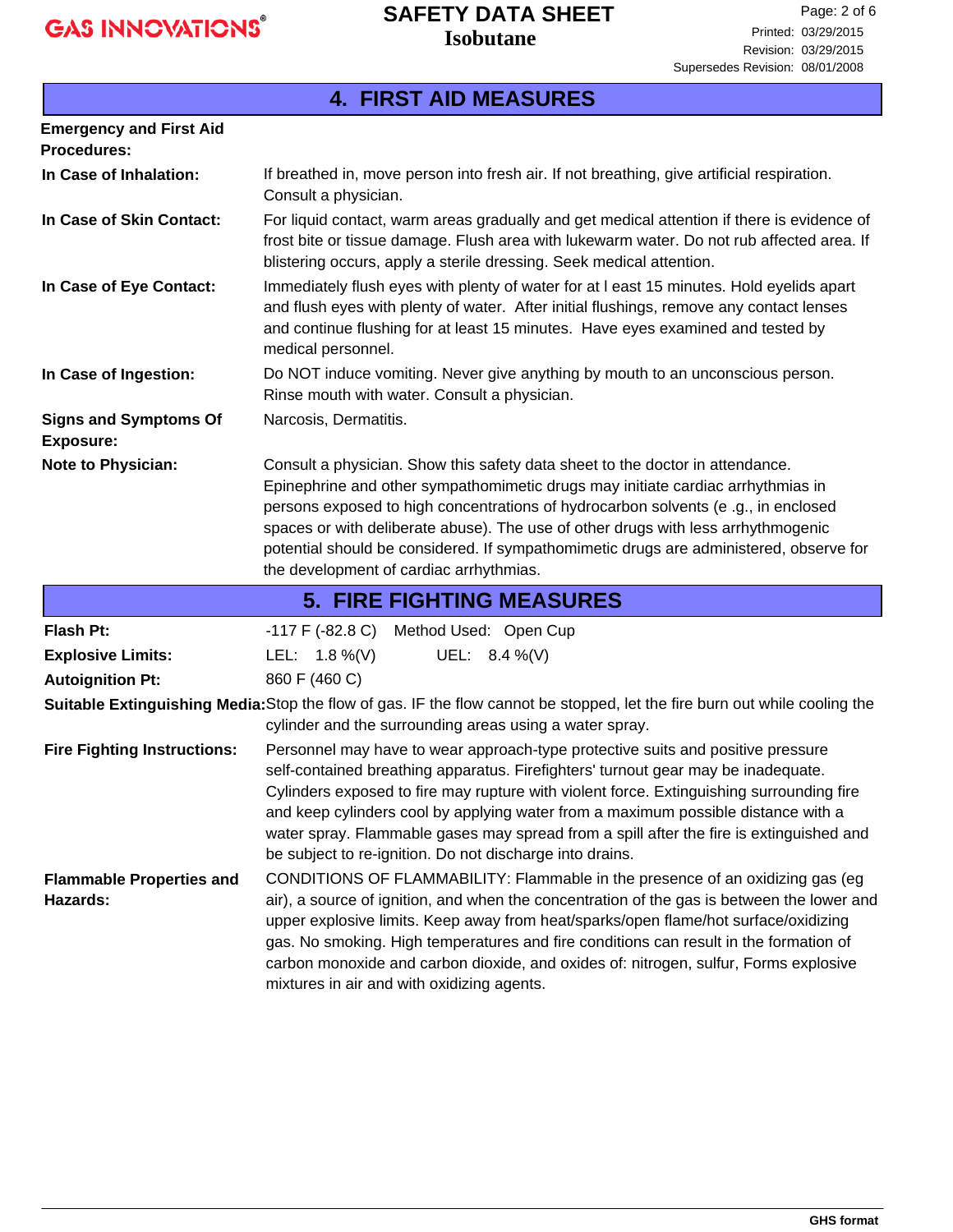### **Isobutane SAFETY DATA SHEET**

|                                                      | <b>4. FIRST AID MEASURES</b>                                                                                                                                                                                                                                                                                                                                                                                                                                                                                 |  |  |  |
|------------------------------------------------------|--------------------------------------------------------------------------------------------------------------------------------------------------------------------------------------------------------------------------------------------------------------------------------------------------------------------------------------------------------------------------------------------------------------------------------------------------------------------------------------------------------------|--|--|--|
| <b>Emergency and First Aid</b><br><b>Procedures:</b> |                                                                                                                                                                                                                                                                                                                                                                                                                                                                                                              |  |  |  |
| In Case of Inhalation:                               | If breathed in, move person into fresh air. If not breathing, give artificial respiration.<br>Consult a physician.                                                                                                                                                                                                                                                                                                                                                                                           |  |  |  |
| In Case of Skin Contact:                             | For liquid contact, warm areas gradually and get medical attention if there is evidence of<br>frost bite or tissue damage. Flush area with lukewarm water. Do not rub affected area. If<br>blistering occurs, apply a sterile dressing. Seek medical attention.                                                                                                                                                                                                                                              |  |  |  |
| In Case of Eye Contact:                              | Immediately flush eyes with plenty of water for at I east 15 minutes. Hold eyelids apart<br>and flush eyes with plenty of water. After initial flushings, remove any contact lenses<br>and continue flushing for at least 15 minutes. Have eyes examined and tested by<br>medical personnel.                                                                                                                                                                                                                 |  |  |  |
| In Case of Ingestion:                                | Do NOT induce vomiting. Never give anything by mouth to an unconscious person.<br>Rinse mouth with water. Consult a physician.                                                                                                                                                                                                                                                                                                                                                                               |  |  |  |
| <b>Signs and Symptoms Of</b><br><b>Exposure:</b>     | Narcosis, Dermatitis.                                                                                                                                                                                                                                                                                                                                                                                                                                                                                        |  |  |  |
| Note to Physician:                                   | Consult a physician. Show this safety data sheet to the doctor in attendance.<br>Epinephrine and other sympathomimetic drugs may initiate cardiac arrhythmias in<br>persons exposed to high concentrations of hydrocarbon solvents (e.g., in enclosed<br>spaces or with deliberate abuse). The use of other drugs with less arrhythmogenic<br>potential should be considered. If sympathomimetic drugs are administered, observe for<br>the development of cardiac arrhythmias.                              |  |  |  |
|                                                      | <b>5. FIRE FIGHTING MEASURES</b>                                                                                                                                                                                                                                                                                                                                                                                                                                                                             |  |  |  |
| <b>Flash Pt:</b>                                     | -117 F (-82.8 C)<br>Method Used: Open Cup                                                                                                                                                                                                                                                                                                                                                                                                                                                                    |  |  |  |
| <b>Explosive Limits:</b>                             | LEL: $1.8\%$ (V)<br>UEL: $8.4\%$ (V)                                                                                                                                                                                                                                                                                                                                                                                                                                                                         |  |  |  |
| <b>Autoignition Pt:</b>                              | 860 F (460 C)                                                                                                                                                                                                                                                                                                                                                                                                                                                                                                |  |  |  |
|                                                      | Suitable Extinguishing Media: Stop the flow of gas. IF the flow cannot be stopped, let the fire burn out while cooling the<br>cylinder and the surrounding areas using a water spray.                                                                                                                                                                                                                                                                                                                        |  |  |  |
| <b>Fire Fighting Instructions:</b>                   | Personnel may have to wear approach-type protective suits and positive pressure<br>self-contained breathing apparatus. Firefighters' turnout gear may be inadequate.<br>Cylinders exposed to fire may rupture with violent force. Extinguishing surrounding fire<br>and keep cylinders cool by applying water from a maximum possible distance with a<br>water spray. Flammable gases may spread from a spill after the fire is extinguished and<br>be subject to re-ignition. Do not discharge into drains. |  |  |  |
| <b>Flammable Properties and</b><br>Hazards:          | CONDITIONS OF FLAMMABILITY: Flammable in the presence of an oxidizing gas (eg<br>air), a source of ignition, and when the concentration of the gas is between the lower and<br>upper explosive limits. Keep away from heat/sparks/open flame/hot surface/oxidizing<br>gas. No smoking. High temperatures and fire conditions can result in the formation of<br>carbon monoxide and carbon dioxide, and oxides of: nitrogen, sulfur, Forms explosive<br>mixtures in air and with oxidizing agents.            |  |  |  |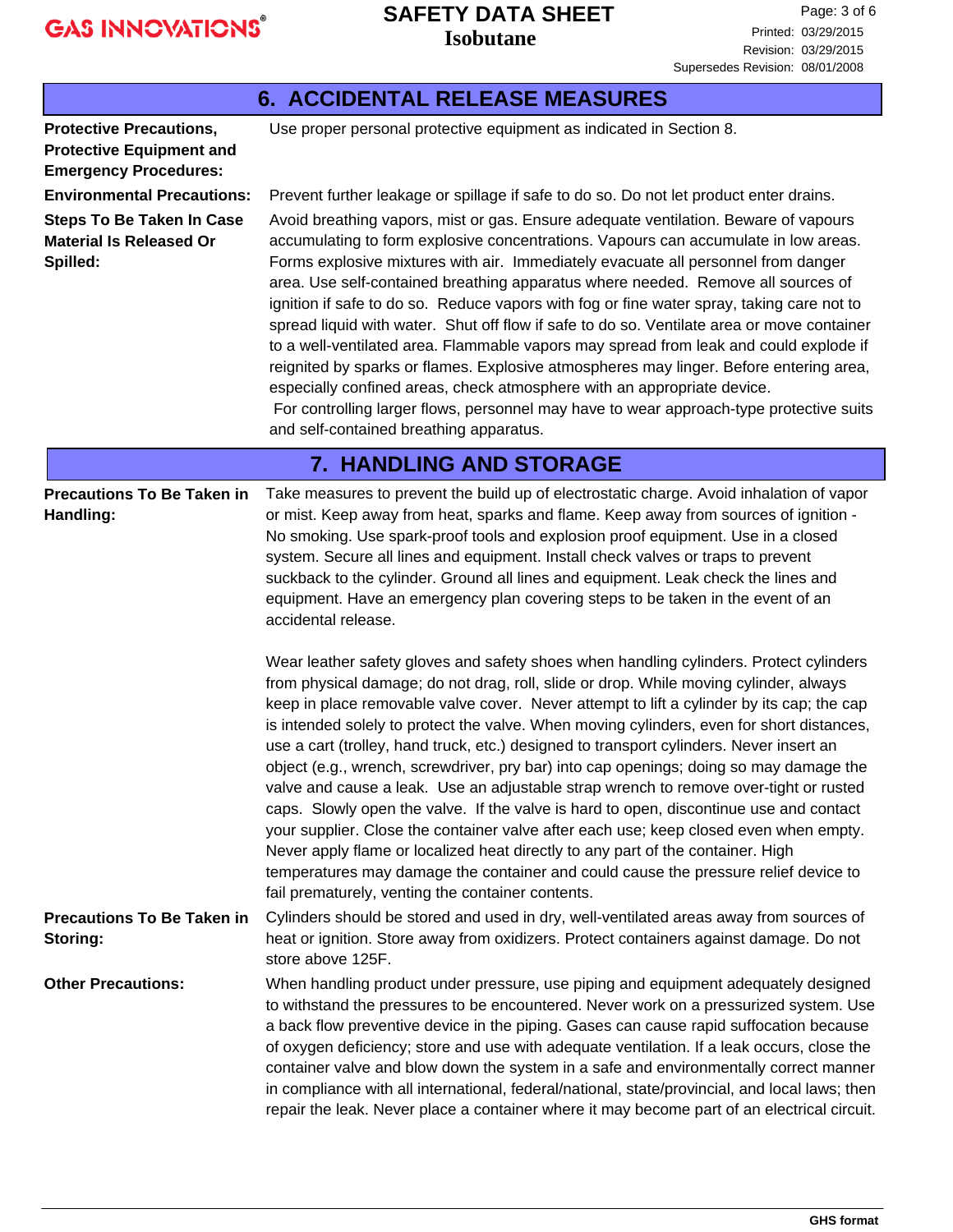## **Isobutane SAFETY DATA SHEET**

|                                                                                                                                                                                                                                                                                                                                                                                                                                                                                                                                                                                                                                                                                                                                                                                                                                                                                                                                                                                                                                                                                                                                                                     | <i><b>ISODUTANE</b></i>                                                                                                                                                                                                                                                                                                                                                                                                                                                                                                                                                                                                                                                                                                                                                                                                                                                                                                                                                                                                                                                                                                                                                                                                                                                                                                                                                                                                                                                                                                                                                                                                               | Revision: 03/29/2015<br>Supersedes Revision: 08/01/2008 |
|---------------------------------------------------------------------------------------------------------------------------------------------------------------------------------------------------------------------------------------------------------------------------------------------------------------------------------------------------------------------------------------------------------------------------------------------------------------------------------------------------------------------------------------------------------------------------------------------------------------------------------------------------------------------------------------------------------------------------------------------------------------------------------------------------------------------------------------------------------------------------------------------------------------------------------------------------------------------------------------------------------------------------------------------------------------------------------------------------------------------------------------------------------------------|---------------------------------------------------------------------------------------------------------------------------------------------------------------------------------------------------------------------------------------------------------------------------------------------------------------------------------------------------------------------------------------------------------------------------------------------------------------------------------------------------------------------------------------------------------------------------------------------------------------------------------------------------------------------------------------------------------------------------------------------------------------------------------------------------------------------------------------------------------------------------------------------------------------------------------------------------------------------------------------------------------------------------------------------------------------------------------------------------------------------------------------------------------------------------------------------------------------------------------------------------------------------------------------------------------------------------------------------------------------------------------------------------------------------------------------------------------------------------------------------------------------------------------------------------------------------------------------------------------------------------------------|---------------------------------------------------------|
|                                                                                                                                                                                                                                                                                                                                                                                                                                                                                                                                                                                                                                                                                                                                                                                                                                                                                                                                                                                                                                                                                                                                                                     | <b>6. ACCIDENTAL RELEASE MEASURES</b>                                                                                                                                                                                                                                                                                                                                                                                                                                                                                                                                                                                                                                                                                                                                                                                                                                                                                                                                                                                                                                                                                                                                                                                                                                                                                                                                                                                                                                                                                                                                                                                                 |                                                         |
| <b>Protective Precautions,</b><br><b>Protective Equipment and</b><br><b>Emergency Procedures:</b>                                                                                                                                                                                                                                                                                                                                                                                                                                                                                                                                                                                                                                                                                                                                                                                                                                                                                                                                                                                                                                                                   | Use proper personal protective equipment as indicated in Section 8.                                                                                                                                                                                                                                                                                                                                                                                                                                                                                                                                                                                                                                                                                                                                                                                                                                                                                                                                                                                                                                                                                                                                                                                                                                                                                                                                                                                                                                                                                                                                                                   |                                                         |
| <b>Environmental Precautions:</b><br>Prevent further leakage or spillage if safe to do so. Do not let product enter drains.<br>Avoid breathing vapors, mist or gas. Ensure adequate ventilation. Beware of vapours<br><b>Steps To Be Taken In Case</b><br><b>Material Is Released Or</b><br>accumulating to form explosive concentrations. Vapours can accumulate in low areas.<br>Spilled:<br>Forms explosive mixtures with air. Immediately evacuate all personnel from danger<br>area. Use self-contained breathing apparatus where needed. Remove all sources of<br>ignition if safe to do so. Reduce vapors with fog or fine water spray, taking care not to<br>spread liquid with water. Shut off flow if safe to do so. Ventilate area or move container<br>to a well-ventilated area. Flammable vapors may spread from leak and could explode if<br>reignited by sparks or flames. Explosive atmospheres may linger. Before entering area,<br>especially confined areas, check atmosphere with an appropriate device.<br>For controlling larger flows, personnel may have to wear approach-type protective suits<br>and self-contained breathing apparatus. |                                                                                                                                                                                                                                                                                                                                                                                                                                                                                                                                                                                                                                                                                                                                                                                                                                                                                                                                                                                                                                                                                                                                                                                                                                                                                                                                                                                                                                                                                                                                                                                                                                       |                                                         |
|                                                                                                                                                                                                                                                                                                                                                                                                                                                                                                                                                                                                                                                                                                                                                                                                                                                                                                                                                                                                                                                                                                                                                                     | <b>7. HANDLING AND STORAGE</b>                                                                                                                                                                                                                                                                                                                                                                                                                                                                                                                                                                                                                                                                                                                                                                                                                                                                                                                                                                                                                                                                                                                                                                                                                                                                                                                                                                                                                                                                                                                                                                                                        |                                                         |
| <b>Precautions To Be Taken in</b><br>Handling:                                                                                                                                                                                                                                                                                                                                                                                                                                                                                                                                                                                                                                                                                                                                                                                                                                                                                                                                                                                                                                                                                                                      | Take measures to prevent the build up of electrostatic charge. Avoid inhalation of vapor<br>or mist. Keep away from heat, sparks and flame. Keep away from sources of ignition -<br>No smoking. Use spark-proof tools and explosion proof equipment. Use in a closed<br>system. Secure all lines and equipment. Install check valves or traps to prevent<br>suckback to the cylinder. Ground all lines and equipment. Leak check the lines and<br>equipment. Have an emergency plan covering steps to be taken in the event of an<br>accidental release.<br>Wear leather safety gloves and safety shoes when handling cylinders. Protect cylinders<br>from physical damage; do not drag, roll, slide or drop. While moving cylinder, always<br>keep in place removable valve cover. Never attempt to lift a cylinder by its cap; the cap<br>is intended solely to protect the valve. When moving cylinders, even for short distances,<br>use a cart (trolley, hand truck, etc.) designed to transport cylinders. Never insert an<br>object (e.g., wrench, screwdriver, pry bar) into cap openings; doing so may damage the<br>valve and cause a leak. Use an adjustable strap wrench to remove over-tight or rusted<br>caps. Slowly open the valve. If the valve is hard to open, discontinue use and contact<br>your supplier. Close the container valve after each use; keep closed even when empty.<br>Never apply flame or localized heat directly to any part of the container. High<br>temperatures may damage the container and could cause the pressure relief device to<br>fail prematurely, venting the container contents. |                                                         |
| <b>Precautions To Be Taken in</b><br>Storing:                                                                                                                                                                                                                                                                                                                                                                                                                                                                                                                                                                                                                                                                                                                                                                                                                                                                                                                                                                                                                                                                                                                       | Cylinders should be stored and used in dry, well-ventilated areas away from sources of<br>heat or ignition. Store away from oxidizers. Protect containers against damage. Do not<br>store above 125F.                                                                                                                                                                                                                                                                                                                                                                                                                                                                                                                                                                                                                                                                                                                                                                                                                                                                                                                                                                                                                                                                                                                                                                                                                                                                                                                                                                                                                                 |                                                         |
| <b>Other Precautions:</b>                                                                                                                                                                                                                                                                                                                                                                                                                                                                                                                                                                                                                                                                                                                                                                                                                                                                                                                                                                                                                                                                                                                                           | When handling product under pressure, use piping and equipment adequately designed<br>to withstand the pressures to be encountered. Never work on a pressurized system. Use<br>a back flow preventive device in the piping. Gases can cause rapid suffocation because<br>of oxygen deficiency; store and use with adequate ventilation. If a leak occurs, close the<br>container valve and blow down the system in a safe and environmentally correct manner<br>in compliance with all international, federal/national, state/provincial, and local laws; then<br>repair the leak. Never place a container where it may become part of an electrical circuit.                                                                                                                                                                                                                                                                                                                                                                                                                                                                                                                                                                                                                                                                                                                                                                                                                                                                                                                                                                         |                                                         |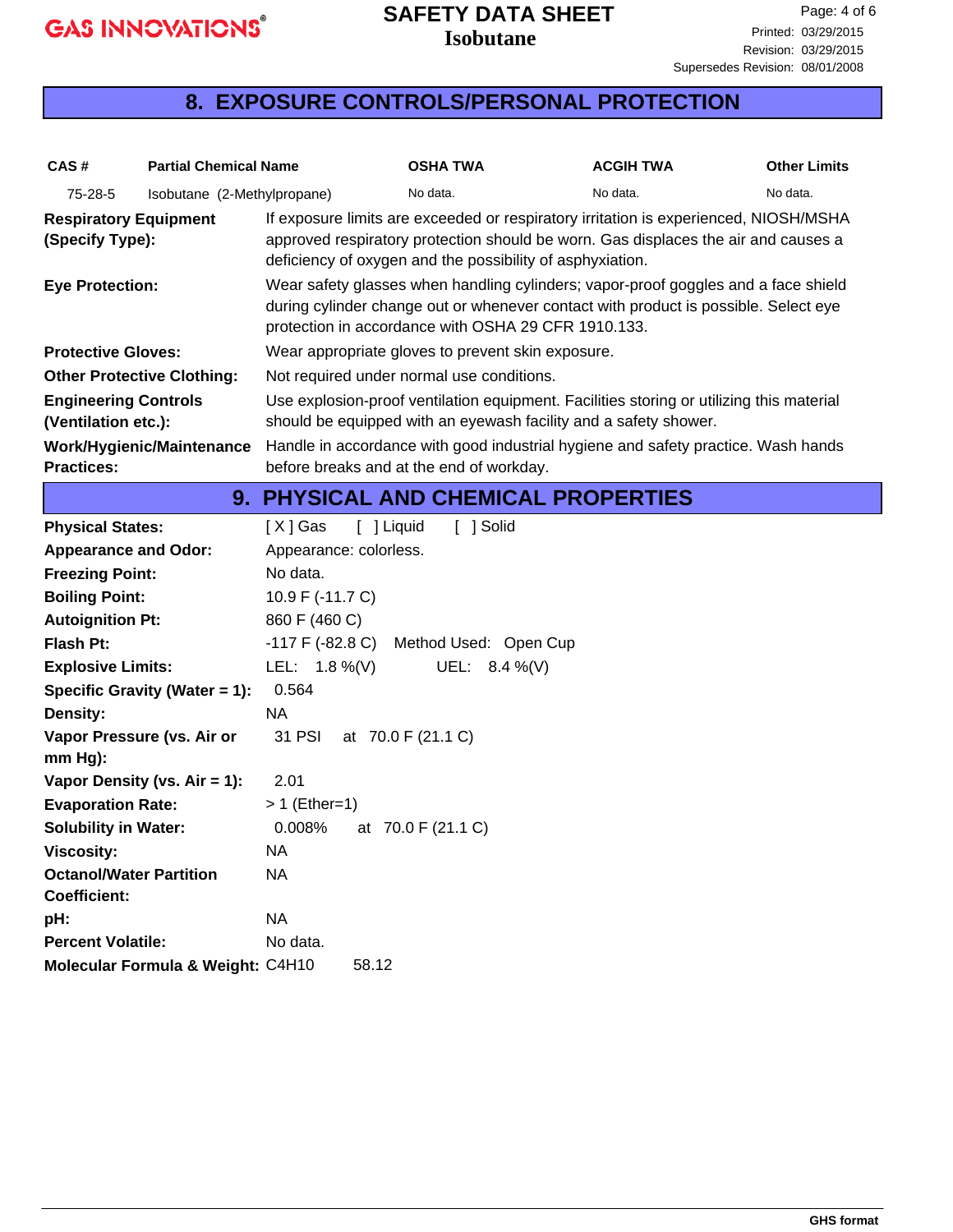### **Isobutane SAFETY DATA SHEET**

## **8. EXPOSURE CONTROLS/PERSONAL PROTECTION**

| CAS#                                                  | <b>Partial Chemical Name</b>      |                         | <b>OSHA TWA</b>                                           | <b>ACGIH TWA</b>                                                                                                                                                           | <b>Other Limits</b> |  |
|-------------------------------------------------------|-----------------------------------|-------------------------|-----------------------------------------------------------|----------------------------------------------------------------------------------------------------------------------------------------------------------------------------|---------------------|--|
| 75-28-5                                               | Isobutane (2-Methylpropane)       |                         | No data.                                                  | No data.                                                                                                                                                                   | No data.            |  |
| <b>Respiratory Equipment</b><br>(Specify Type):       |                                   |                         | deficiency of oxygen and the possibility of asphyxiation. | If exposure limits are exceeded or respiratory irritation is experienced, NIOSH/MSHA<br>approved respiratory protection should be worn. Gas displaces the air and causes a |                     |  |
| <b>Eye Protection:</b>                                |                                   |                         | protection in accordance with OSHA 29 CFR 1910.133.       | Wear safety glasses when handling cylinders; vapor-proof goggles and a face shield<br>during cylinder change out or whenever contact with product is possible. Select eye  |                     |  |
| <b>Protective Gloves:</b>                             |                                   |                         | Wear appropriate gloves to prevent skin exposure.         |                                                                                                                                                                            |                     |  |
|                                                       | <b>Other Protective Clothing:</b> |                         | Not required under normal use conditions.                 |                                                                                                                                                                            |                     |  |
| <b>Engineering Controls</b><br>(Ventilation etc.):    |                                   |                         |                                                           | Use explosion-proof ventilation equipment. Facilities storing or utilizing this material<br>should be equipped with an eyewash facility and a safety shower.               |                     |  |
|                                                       | <b>Work/Hygienic/Maintenance</b>  |                         |                                                           | Handle in accordance with good industrial hygiene and safety practice. Wash hands                                                                                          |                     |  |
| <b>Practices:</b>                                     |                                   |                         | before breaks and at the end of workday.                  |                                                                                                                                                                            |                     |  |
|                                                       |                                   |                         |                                                           | <b>9. PHYSICAL AND CHEMICAL PROPERTIES</b>                                                                                                                                 |                     |  |
| <b>Physical States:</b>                               |                                   | [ ] Liquid<br>$[X]$ Gas | [ ] Solid                                                 |                                                                                                                                                                            |                     |  |
| <b>Appearance and Odor:</b>                           |                                   | Appearance: colorless.  |                                                           |                                                                                                                                                                            |                     |  |
| <b>Freezing Point:</b>                                |                                   | No data.                |                                                           |                                                                                                                                                                            |                     |  |
| <b>Boiling Point:</b>                                 |                                   | 10.9 F (-11.7 C)        |                                                           |                                                                                                                                                                            |                     |  |
| <b>Autoignition Pt:</b>                               |                                   | 860 F (460 C)           |                                                           |                                                                                                                                                                            |                     |  |
| <b>Flash Pt:</b>                                      |                                   | $-117$ F (-82.8 C)      | Method Used: Open Cup                                     |                                                                                                                                                                            |                     |  |
| <b>Explosive Limits:</b>                              |                                   | LEL: $1.8\%$ (V)        | UEL: $8.4\%$ (V)                                          |                                                                                                                                                                            |                     |  |
|                                                       | Specific Gravity (Water = 1):     | 0.564                   |                                                           |                                                                                                                                                                            |                     |  |
| Density:                                              |                                   | <b>NA</b>               |                                                           |                                                                                                                                                                            |                     |  |
| $mm Hg$ :                                             | Vapor Pressure (vs. Air or        | 31 PSI                  | at 70.0 F (21.1 C)                                        |                                                                                                                                                                            |                     |  |
|                                                       | Vapor Density (vs. $Air = 1$ ):   | 2.01                    |                                                           |                                                                                                                                                                            |                     |  |
| <b>Evaporation Rate:</b>                              |                                   | $> 1$ (Ether=1)         |                                                           |                                                                                                                                                                            |                     |  |
| <b>Solubility in Water:</b>                           |                                   | 0.008%                  | at 70.0 F (21.1 C)                                        |                                                                                                                                                                            |                     |  |
| <b>Viscosity:</b>                                     |                                   | <b>NA</b>               |                                                           |                                                                                                                                                                            |                     |  |
| <b>Octanol/Water Partition</b><br><b>Coefficient:</b> |                                   | <b>NA</b>               |                                                           |                                                                                                                                                                            |                     |  |
| pH:                                                   |                                   | <b>NA</b>               |                                                           |                                                                                                                                                                            |                     |  |
| <b>Percent Volatile:</b>                              |                                   | No data.                |                                                           |                                                                                                                                                                            |                     |  |
|                                                       | Molecular Formula & Weight: C4H10 | 58.12                   |                                                           |                                                                                                                                                                            |                     |  |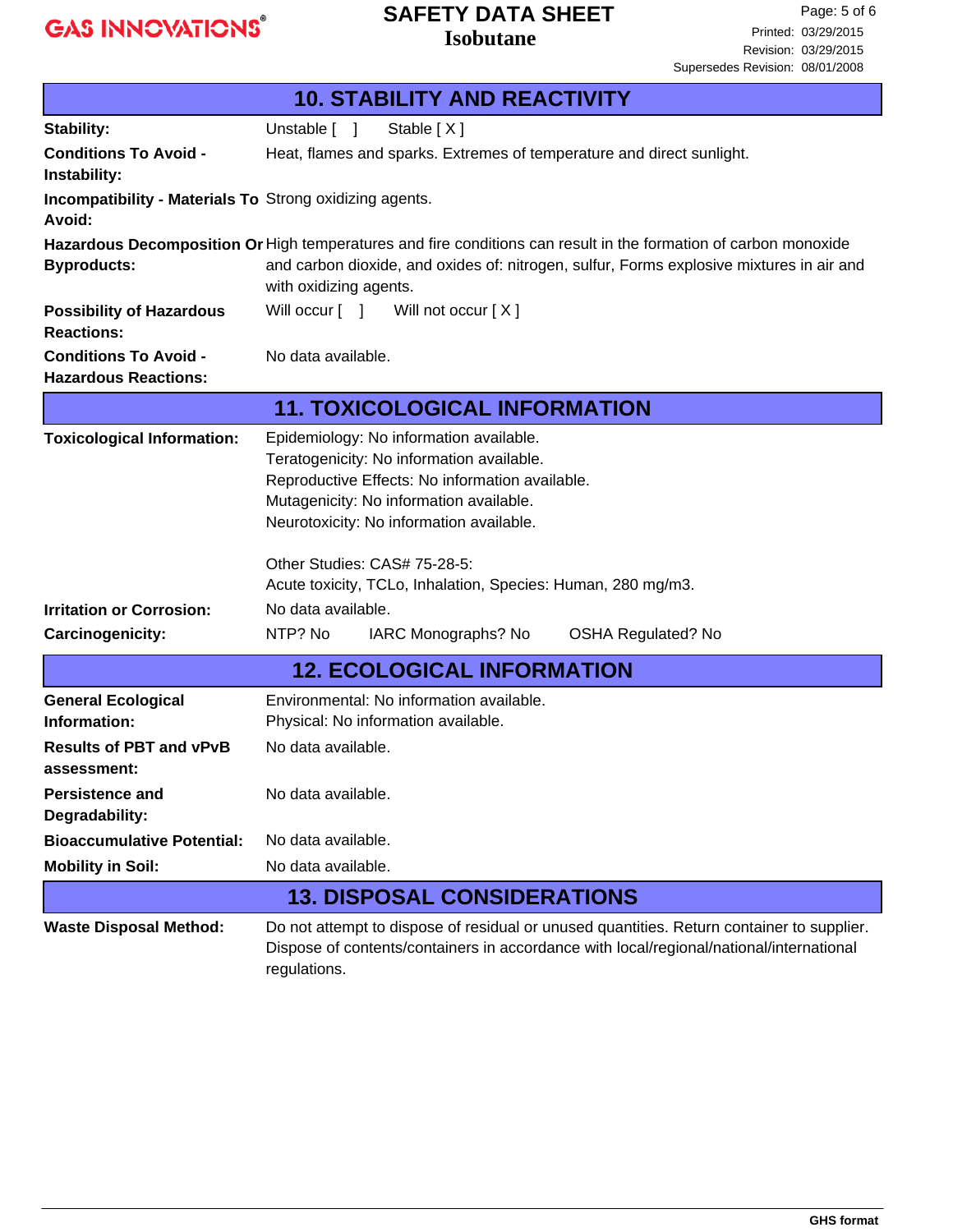Л

# **SAFETY DATA SHEET**

**Isobutane**

| <b>10. STABILITY AND REACTIVITY</b>                                      |                                                                                                                                                                                                                                       |  |  |
|--------------------------------------------------------------------------|---------------------------------------------------------------------------------------------------------------------------------------------------------------------------------------------------------------------------------------|--|--|
| Stability:                                                               | Unstable [ ]<br>Stable [X]                                                                                                                                                                                                            |  |  |
| <b>Conditions To Avoid -</b><br>Instability:                             | Heat, flames and sparks. Extremes of temperature and direct sunlight.                                                                                                                                                                 |  |  |
| <b>Incompatibility - Materials To Strong oxidizing agents.</b><br>Avoid: |                                                                                                                                                                                                                                       |  |  |
| <b>Byproducts:</b>                                                       | Hazardous Decomposition Or High temperatures and fire conditions can result in the formation of carbon monoxide<br>and carbon dioxide, and oxides of: nitrogen, sulfur, Forms explosive mixtures in air and<br>with oxidizing agents. |  |  |
| <b>Possibility of Hazardous</b><br><b>Reactions:</b>                     | Will occur [ ] Will not occur [X]                                                                                                                                                                                                     |  |  |
| <b>Conditions To Avoid -</b><br><b>Hazardous Reactions:</b>              | No data available.                                                                                                                                                                                                                    |  |  |
|                                                                          | <b>11. TOXICOLOGICAL INFORMATION</b>                                                                                                                                                                                                  |  |  |
| <b>Toxicological Information:</b>                                        | Epidemiology: No information available.<br>Teratogenicity: No information available.<br>Reproductive Effects: No information available.<br>Mutagenicity: No information available.<br>Neurotoxicity: No information available.        |  |  |
|                                                                          | Other Studies: CAS# 75-28-5:<br>Acute toxicity, TCLo, Inhalation, Species: Human, 280 mg/m3.                                                                                                                                          |  |  |
| <b>Irritation or Corrosion:</b>                                          | No data available.                                                                                                                                                                                                                    |  |  |
| <b>Carcinogenicity:</b>                                                  | NTP? No<br>IARC Monographs? No<br><b>OSHA Regulated? No</b>                                                                                                                                                                           |  |  |
|                                                                          | <b>12. ECOLOGICAL INFORMATION</b>                                                                                                                                                                                                     |  |  |
| <b>General Ecological</b><br>Information:                                | Environmental: No information available.<br>Physical: No information available.                                                                                                                                                       |  |  |
| <b>Results of PBT and vPvB</b><br>assessment:                            | No data available.                                                                                                                                                                                                                    |  |  |
| <b>Persistence and</b><br>Degradability:                                 | No data available.                                                                                                                                                                                                                    |  |  |
| <b>Bioaccumulative Potential:</b>                                        | No data available.                                                                                                                                                                                                                    |  |  |
| <b>Mobility in Soil:</b>                                                 | No data available.                                                                                                                                                                                                                    |  |  |
|                                                                          | <b>13. DISPOSAL CONSIDERATIONS</b>                                                                                                                                                                                                    |  |  |
| <b>Waste Disposal Method:</b>                                            | Do not attempt to dispose of residual or unused quantities. Return container to supplier.<br>Dispose of contents/containers in accordance with local/regional/national/international<br>regulations.                                  |  |  |